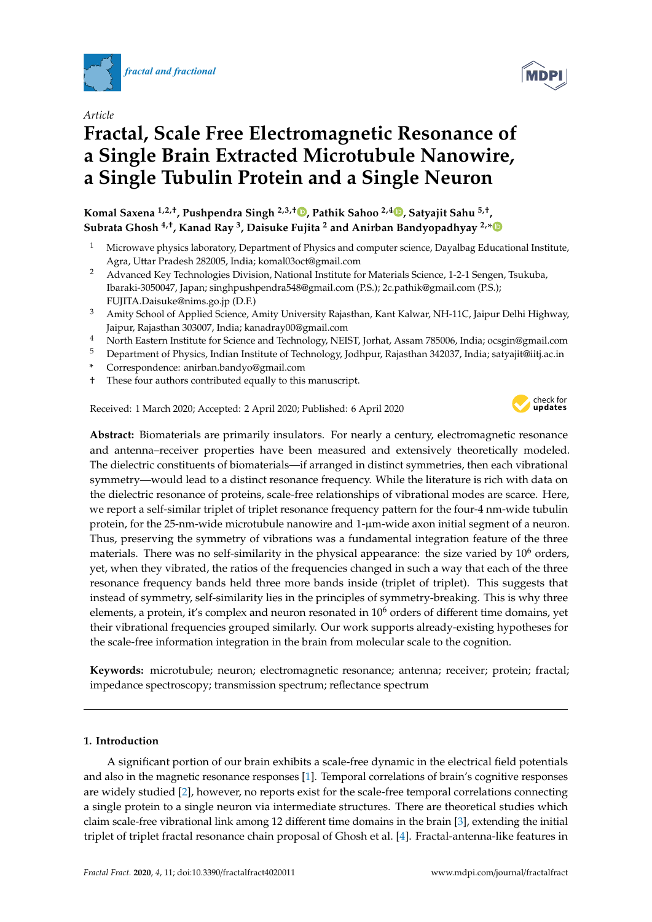

*Article*

# **Fractal, Scale Free Electromagnetic Resonance of a Single Brain Extracted Microtubule Nanowire, a Single Tubulin Protein and a Single Neuron**

**Komal Saxena 1,2,**† **, Pushpendra Singh 2,3,**† **, Pathik Sahoo 2,4 , Satyajit Sahu 5,**† **, Subrata Ghosh 4,**† **, Kanad Ray <sup>3</sup> , Daisuke Fujita <sup>2</sup> and Anirban Bandyopadhyay 2,\***

- <sup>1</sup> Microwave physics laboratory, Department of Physics and computer science, Dayalbag Educational Institute, Agra, Uttar Pradesh 282005, India; komal03oct@gmail.com
- <sup>2</sup> Advanced Key Technologies Division, National Institute for Materials Science, 1-2-1 Sengen, Tsukuba, Ibaraki-3050047, Japan; singhpushpendra548@gmail.com (P.S.); 2c.pathik@gmail.com (P.S.); FUJITA.Daisuke@nims.go.jp (D.F.)
- <sup>3</sup> Amity School of Applied Science, Amity University Rajasthan, Kant Kalwar, NH-11C, Jaipur Delhi Highway, Jaipur, Rajasthan 303007, India; kanadray00@gmail.com
- <sup>4</sup> North Eastern Institute for Science and Technology, NEIST, Jorhat, Assam 785006, India; ocsgin@gmail.com
- <sup>5</sup> Department of Physics, Indian Institute of Technology, Jodhpur, Rajasthan 342037, India; satyajit@iitj.ac.in
- **\*** Correspondence: anirban.bandyo@gmail.com
- † These four authors contributed equally to this manuscript.

Received: 1 March 2020; Accepted: 2 April 2020; Published: 6 April 2020



**Abstract:** Biomaterials are primarily insulators. For nearly a century, electromagnetic resonance and antenna–receiver properties have been measured and extensively theoretically modeled. The dielectric constituents of biomaterials—if arranged in distinct symmetries, then each vibrational symmetry—would lead to a distinct resonance frequency. While the literature is rich with data on the dielectric resonance of proteins, scale-free relationships of vibrational modes are scarce. Here, we report a self-similar triplet of triplet resonance frequency pattern for the four-4 nm-wide tubulin protein, for the 25-nm-wide microtubule nanowire and 1-µm-wide axon initial segment of a neuron. Thus, preserving the symmetry of vibrations was a fundamental integration feature of the three materials. There was no self-similarity in the physical appearance: the size varied by  $10^6$  orders, yet, when they vibrated, the ratios of the frequencies changed in such a way that each of the three resonance frequency bands held three more bands inside (triplet of triplet). This suggests that instead of symmetry, self-similarity lies in the principles of symmetry-breaking. This is why three elements, a protein, it's complex and neuron resonated in  $10<sup>6</sup>$  orders of different time domains, yet their vibrational frequencies grouped similarly. Our work supports already-existing hypotheses for the scale-free information integration in the brain from molecular scale to the cognition.

**Keywords:** microtubule; neuron; electromagnetic resonance; antenna; receiver; protein; fractal; impedance spectroscopy; transmission spectrum; reflectance spectrum

# **1. Introduction**

A significant portion of our brain exhibits a scale-free dynamic in the electrical field potentials and also in the magnetic resonance responses [1]. Temporal correlations of brain's cognitive responses are widely studied [2], however, no reports exist for the scale-free temporal correlations connecting a single protein to a single neuron via intermediate structures. There are theoretical studies which claim scale-free vibrational link among 12 different time domains in the brain [3], extending the initial triplet of triplet fractal resonance chain proposal of Ghosh et al. [4]. Fractal-antenna-like features in

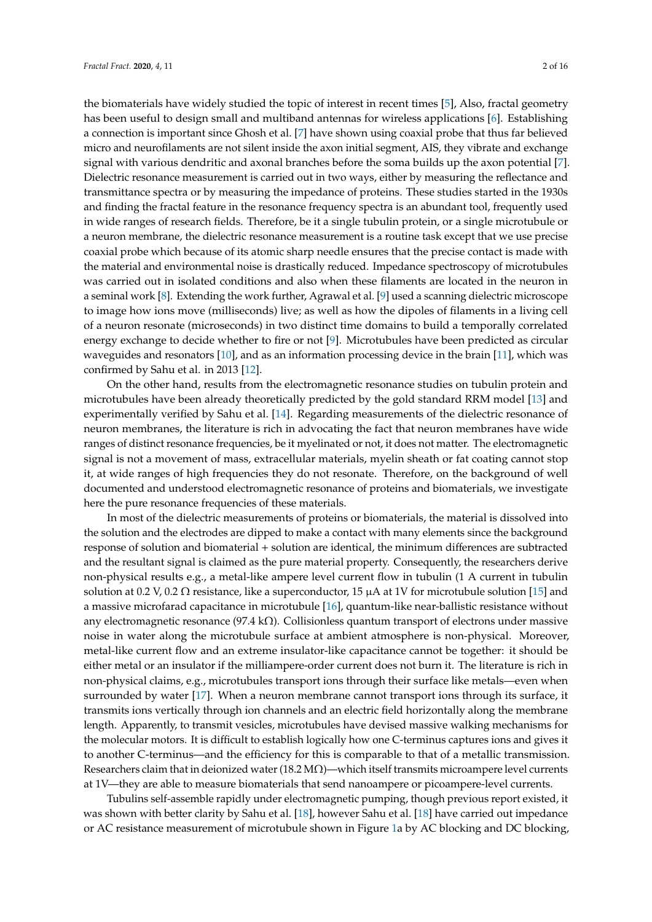the biomaterials have widely studied the topic of interest in recent times [5], Also, fractal geometry has been useful to design small and multiband antennas for wireless applications [6]. Establishing a connection is important since Ghosh et al. [7] have shown using coaxial probe that thus far believed micro and neurofilaments are not silent inside the axon initial segment, AIS, they vibrate and exchange signal with various dendritic and axonal branches before the soma builds up the axon potential [7]. Dielectric resonance measurement is carried out in two ways, either by measuring the reflectance and transmittance spectra or by measuring the impedance of proteins. These studies started in the 1930s and finding the fractal feature in the resonance frequency spectra is an abundant tool, frequently used in wide ranges of research fields. Therefore, be it a single tubulin protein, or a single microtubule or a neuron membrane, the dielectric resonance measurement is a routine task except that we use precise coaxial probe which because of its atomic sharp needle ensures that the precise contact is made with the material and environmental noise is drastically reduced. Impedance spectroscopy of microtubules was carried out in isolated conditions and also when these filaments are located in the neuron in a seminal work [8]. Extending the work further, Agrawal et al. [9] used a scanning dielectric microscope to image how ions move (milliseconds) live; as well as how the dipoles of filaments in a living cell of a neuron resonate (microseconds) in two distinct time domains to build a temporally correlated energy exchange to decide whether to fire or not [9]. Microtubules have been predicted as circular waveguides and resonators [10], and as an information processing device in the brain [11], which was confirmed by Sahu et al. in 2013 [12].

On the other hand, results from the electromagnetic resonance studies on tubulin protein and microtubules have been already theoretically predicted by the gold standard RRM model [13] and experimentally verified by Sahu et al. [14]. Regarding measurements of the dielectric resonance of neuron membranes, the literature is rich in advocating the fact that neuron membranes have wide ranges of distinct resonance frequencies, be it myelinated or not, it does not matter. The electromagnetic signal is not a movement of mass, extracellular materials, myelin sheath or fat coating cannot stop it, at wide ranges of high frequencies they do not resonate. Therefore, on the background of well documented and understood electromagnetic resonance of proteins and biomaterials, we investigate here the pure resonance frequencies of these materials.

In most of the dielectric measurements of proteins or biomaterials, the material is dissolved into the solution and the electrodes are dipped to make a contact with many elements since the background response of solution and biomaterial + solution are identical, the minimum differences are subtracted and the resultant signal is claimed as the pure material property. Consequently, the researchers derive non-physical results e.g., a metal-like ampere level current flow in tubulin (1 A current in tubulin solution at 0.2 V, 0.2  $\Omega$  resistance, like a superconductor, 15  $\mu$ A at 1V for microtubule solution [15] and a massive microfarad capacitance in microtubule [16], quantum-like near-ballistic resistance without any electromagnetic resonance (97.4 k $\Omega$ ). Collisionless quantum transport of electrons under massive noise in water along the microtubule surface at ambient atmosphere is non-physical. Moreover, metal-like current flow and an extreme insulator-like capacitance cannot be together: it should be either metal or an insulator if the milliampere-order current does not burn it. The literature is rich in non-physical claims, e.g., microtubules transport ions through their surface like metals—even when surrounded by water [17]. When a neuron membrane cannot transport ions through its surface, it transmits ions vertically through ion channels and an electric field horizontally along the membrane length. Apparently, to transmit vesicles, microtubules have devised massive walking mechanisms for the molecular motors. It is difficult to establish logically how one C-terminus captures ions and gives it to another C-terminus—and the efficiency for this is comparable to that of a metallic transmission. Researchers claim that in deionized water (18.2 MΩ)—which itself transmits microampere level currents at 1V—they are able to measure biomaterials that send nanoampere or picoampere-level currents.

Tubulins self-assemble rapidly under electromagnetic pumping, though previous report existed, it was shown with better clarity by Sahu et al. [18], however Sahu et al. [18] have carried out impedance or AC resistance measurement of microtubule shown in Figure 1a by AC blocking and DC blocking,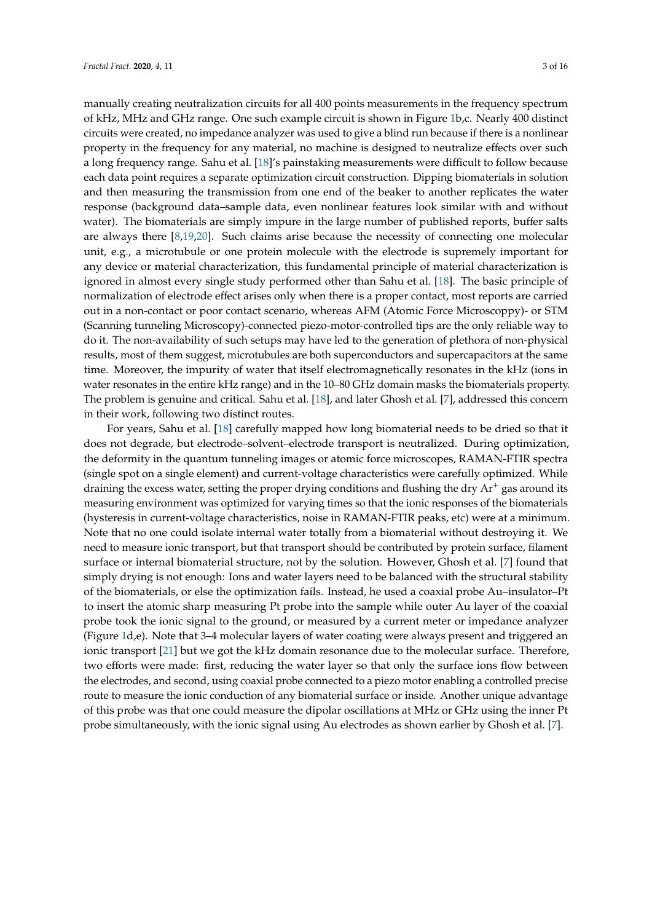manually creating neutralization circuits for all 400 points measurements in the frequency spectrum of kHz, MHz and GHz range. One such example circuit is shown in Figure 1b,c. Nearly 400 distinct circuits were created, no impedance analyzer was used to give a blind run because if there is a nonlinear property in the frequency for any material, no machine is designed to neutralize effects over such a long frequency range. Sahu et al. [18]'s painstaking measurements were difficult to follow because each data point requires a separate optimization circuit construction. Dipping biomaterials in solution and then measuring the transmission from one end of the beaker to another replicates the water response (background data–sample data, even nonlinear features look similar with and without water). The biomaterials are simply impure in the large number of published reports, buffer salts are always there [8,19,20]. Such claims arise because the necessity of connecting one molecular unit, e.g., a microtubule or one protein molecule with the electrode is supremely important for any device or material characterization, this fundamental principle of material characterization is ignored in almost every single study performed other than Sahu et al. [18]. The basic principle of normalization of electrode effect arises only when there is a proper contact, most reports are carried out in a non-contact or poor contact scenario, whereas AFM (Atomic Force Microscoppy)- or STM (Scanning tunneling Microscopy)-connected piezo-motor-controlled tips are the only reliable way to do it. The non-availability of such setups may have led to the generation of plethora of non-physical results, most of them suggest, microtubules are both superconductors and supercapacitors at the same time. Moreover, the impurity of water that itself electromagnetically resonates in the kHz (ions in water resonates in the entire kHz range) and in the 10–80 GHz domain masks the biomaterials property. The problem is genuine and critical. Sahu et al. [18], and later Ghosh et al. [7], addressed this concern in their work, following two distinct routes.

For years, Sahu et al. [18] carefully mapped how long biomaterial needs to be dried so that it does not degrade, but electrode–solvent–electrode transport is neutralized. During optimization, the deformity in the quantum tunneling images or atomic force microscopes, RAMAN-FTIR spectra (single spot on a single element) and current-voltage characteristics were carefully optimized. While draining the excess water, setting the proper drying conditions and flushing the dry  $Ar<sup>+</sup>$  gas around its measuring environment was optimized for varying times so that the ionic responses of the biomaterials (hysteresis in current-voltage characteristics, noise in RAMAN-FTIR peaks, etc) were at a minimum. Note that no one could isolate internal water totally from a biomaterial without destroying it. We need to measure ionic transport, but that transport should be contributed by protein surface, filament surface or internal biomaterial structure, not by the solution. However, Ghosh et al. [7] found that simply drying is not enough: Ions and water layers need to be balanced with the structural stability of the biomaterials, or else the optimization fails. Instead, he used a coaxial probe Au–insulator–Pt to insert the atomic sharp measuring Pt probe into the sample while outer Au layer of the coaxial probe took the ionic signal to the ground, or measured by a current meter or impedance analyzer (Figure 1d,e). Note that 3–4 molecular layers of water coating were always present and triggered an ionic transport [21] but we got the kHz domain resonance due to the molecular surface. Therefore, two efforts were made: first, reducing the water layer so that only the surface ions flow between the electrodes, and second, using coaxial probe connected to a piezo motor enabling a controlled precise route to measure the ionic conduction of any biomaterial surface or inside. Another unique advantage of this probe was that one could measure the dipolar oscillations at MHz or GHz using the inner Pt probe simultaneously, with the ionic signal using Au electrodes as shown earlier by Ghosh et al. [7].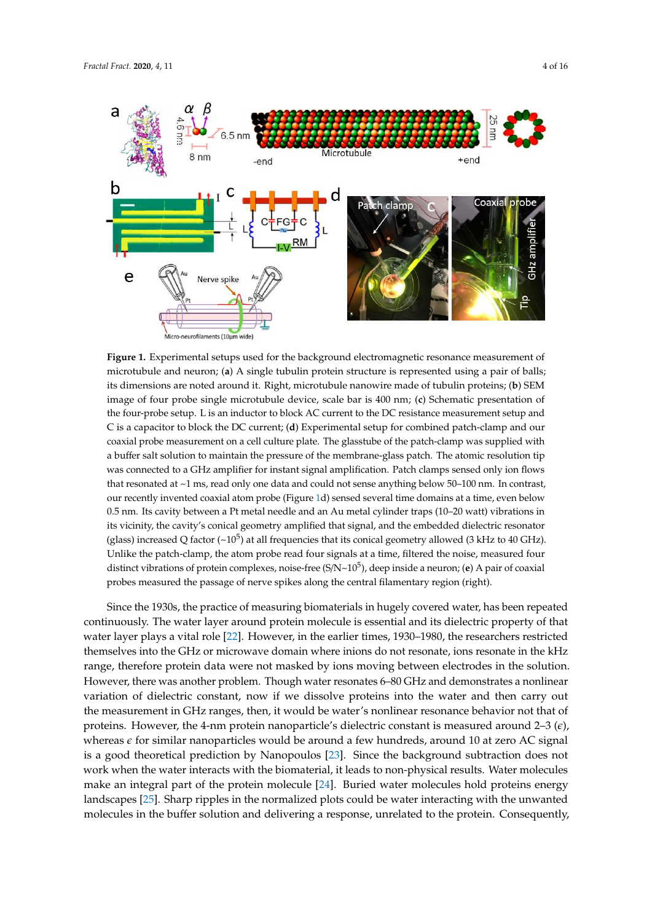

**Figure 1.** Experimental setups used for the background electromagnetic resonance measurement of microtubule and neuron; (**a**) A single tubulin protein structure is represented using a pair of balls; its dimensions are noted around it. Right, microtubule nanowire made of tubulin proteins; (**b**) SEM image of four probe single microtubule device, scale bar is 400 nm; (**c**) Schematic presentation of the four-probe setup. L is an inductor to block AC current to the DC resistance measurement setup and C is a capacitor to block the DC current; (**d**) Experimental setup for combined patch-clamp and our coaxial probe measurement on a cell culture plate. The glasstube of the patch-clamp was supplied with a buffer salt solution to maintain the pressure of the membrane-glass patch. The atomic resolution tip was connected to a GHz amplifier for instant signal amplification. Patch clamps sensed only ion flows that resonated at ~1 ms, read only one data and could not sense anything below 50–100 nm. In contrast, our recently invented coaxial atom probe (Figure 1d) sensed several time domains at a time, even below 0.5 nm. Its cavity between a Pt metal needle and an Au metal cylinder traps (10–20 watt) vibrations in its vicinity, the cavity's conical geometry amplified that signal, and the embedded dielectric resonator (glass) increased Q factor ( $\sim$ 10<sup>5</sup>) at all frequencies that its conical geometry allowed (3 kHz to 40 GHz). Unlike the patch-clamp, the atom probe read four signals at a time, filtered the noise, measured four distinct vibrations of protein complexes, noise-free (S/N~10<sup>5</sup> ), deep inside a neuron; (**e**) A pair of coaxial probes measured the passage of nerve spikes along the central filamentary region (right).

*ε* work when the water interacts with the biomaterial, it leads to non-physical results. Water molecules Since the 1930s, the practice of measuring biomaterials in hugely covered water, has been repeated continuously. The water layer around protein molecule is essential and its dielectric property of that water layer plays a vital role [22]. However, in the earlier times, 1930–1980, the researchers restricted themselves into the GHz or microwave domain where inions do not resonate, ions resonate in the kHz range, therefore protein data were not masked by ions moving between electrodes in the solution. However, there was another problem. Though water resonates 6–80 GHz and demonstrates a nonlinear variation of dielectric constant, now if we dissolve proteins into the water and then carry out the measurement in GHz ranges, then, it would be water's nonlinear resonance behavior not that of proteins. However, the 4-nm protein nanoparticle's dielectric constant is measured around  $2-3$  ( $\epsilon$ ), whereas  $\epsilon$  for similar nanoparticles would be around a few hundreds, around 10 at zero AC signal is a good theoretical prediction by Nanopoulos [23]. Since the background subtraction does not make an integral part of the protein molecule [24]. Buried water molecules hold proteins energy landscapes [25]. Sharp ripples in the normalized plots could be water interacting with the unwanted molecules in the buffer solution and delivering a response, unrelated to the protein. Consequently,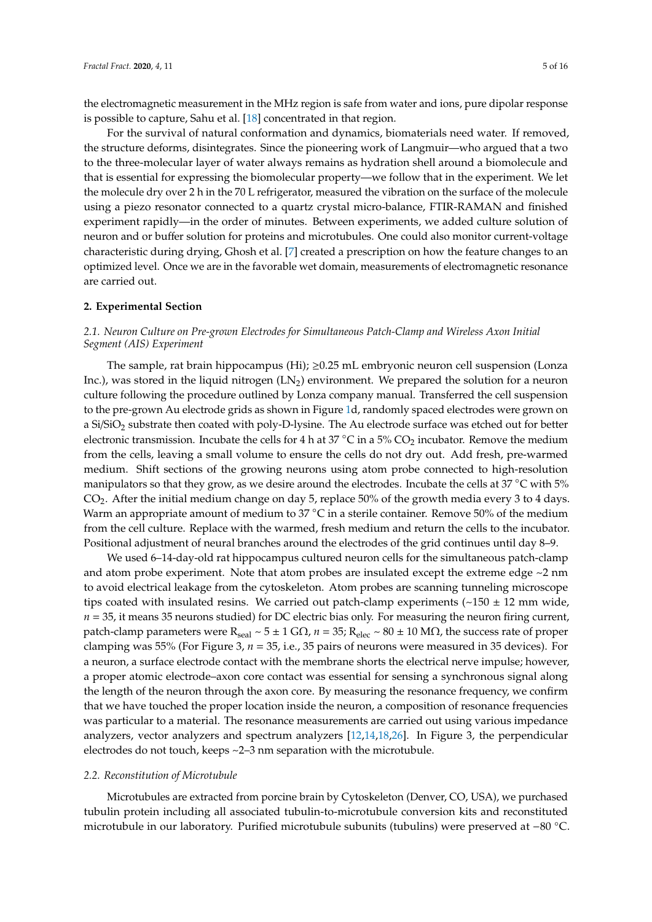the electromagnetic measurement in the MHz region is safe from water and ions, pure dipolar response is possible to capture, Sahu et al. [18] concentrated in that region.

For the survival of natural conformation and dynamics, biomaterials need water. If removed, the structure deforms, disintegrates. Since the pioneering work of Langmuir—who argued that a two to the three-molecular layer of water always remains as hydration shell around a biomolecule and that is essential for expressing the biomolecular property—we follow that in the experiment. We let the molecule dry over 2 h in the 70 L refrigerator, measured the vibration on the surface of the molecule using a piezo resonator connected to a quartz crystal micro-balance, FTIR-RAMAN and finished experiment rapidly—in the order of minutes. Between experiments, we added culture solution of neuron and or buffer solution for proteins and microtubules. One could also monitor current-voltage characteristic during drying, Ghosh et al. [7] created a prescription on how the feature changes to an optimized level. Once we are in the favorable wet domain, measurements of electromagnetic resonance are carried out.

## **2. Experimental Section**

# *2.1. Neuron Culture on Pre-grown Electrodes for Simultaneous Patch-Clamp and Wireless Axon Initial Segment (AIS) Experiment*

The sample, rat brain hippocampus (Hi); ≥0.25 mL embryonic neuron cell suspension (Lonza Inc.), was stored in the liquid nitrogen (LN<sub>2</sub>) environment. We prepared the solution for a neuron culture following the procedure outlined by Lonza company manual. Transferred the cell suspension to the pre-grown Au electrode grids as shown in Figure 1d, randomly spaced electrodes were grown on a Si/SiO<sub>2</sub> substrate then coated with poly-D-lysine. The Au electrode surface was etched out for better electronic transmission. Incubate the cells for 4 h at 37 °C in a 5%  $CO_2$  incubator. Remove the medium from the cells, leaving a small volume to ensure the cells do not dry out. Add fresh, pre-warmed medium. Shift sections of the growing neurons using atom probe connected to high-resolution manipulators so that they grow, as we desire around the electrodes. Incubate the cells at 37 °C with 5% CO2. After the initial medium change on day 5, replace 50% of the growth media every 3 to 4 days. Warm an appropriate amount of medium to  $37^{\circ}$ C in a sterile container. Remove 50% of the medium from the cell culture. Replace with the warmed, fresh medium and return the cells to the incubator. Positional adjustment of neural branches around the electrodes of the grid continues until day 8–9.

We used 6–14-day-old rat hippocampus cultured neuron cells for the simultaneous patch-clamp and atom probe experiment. Note that atom probes are insulated except the extreme edge  $\sim$ 2 nm to avoid electrical leakage from the cytoskeleton. Atom probes are scanning tunneling microscope tips coated with insulated resins. We carried out patch-clamp experiments ( $\sim$ 150  $\pm$  12 mm wide,  $n = 35$ , it means 35 neurons studied) for DC electric bias only. For measuring the neuron firing current, patch-clamp parameters were R<sub>seal</sub> ~  $5 \pm 1$  GΩ,  $n = 35$ ; R<sub>elec</sub> ~ 80  $\pm$  10 MΩ, the success rate of proper clamping was 55% (For Figure 3, *n* = 35, i.e., 35 pairs of neurons were measured in 35 devices). For a neuron, a surface electrode contact with the membrane shorts the electrical nerve impulse; however, a proper atomic electrode–axon core contact was essential for sensing a synchronous signal along the length of the neuron through the axon core. By measuring the resonance frequency, we confirm that we have touched the proper location inside the neuron, a composition of resonance frequencies was particular to a material. The resonance measurements are carried out using various impedance analyzers, vector analyzers and spectrum analyzers [12,14,18,26]. In Figure 3, the perpendicular electrodes do not touch, keeps ~2–3 nm separation with the microtubule.

#### *2.2. Reconstitution of Microtubule*

Microtubules are extracted from porcine brain by Cytoskeleton (Denver, CO, USA), we purchased tubulin protein including all associated tubulin-to-microtubule conversion kits and reconstituted microtubule in our laboratory. Purified microtubule subunits (tubulins) were preserved at −80 ◦C.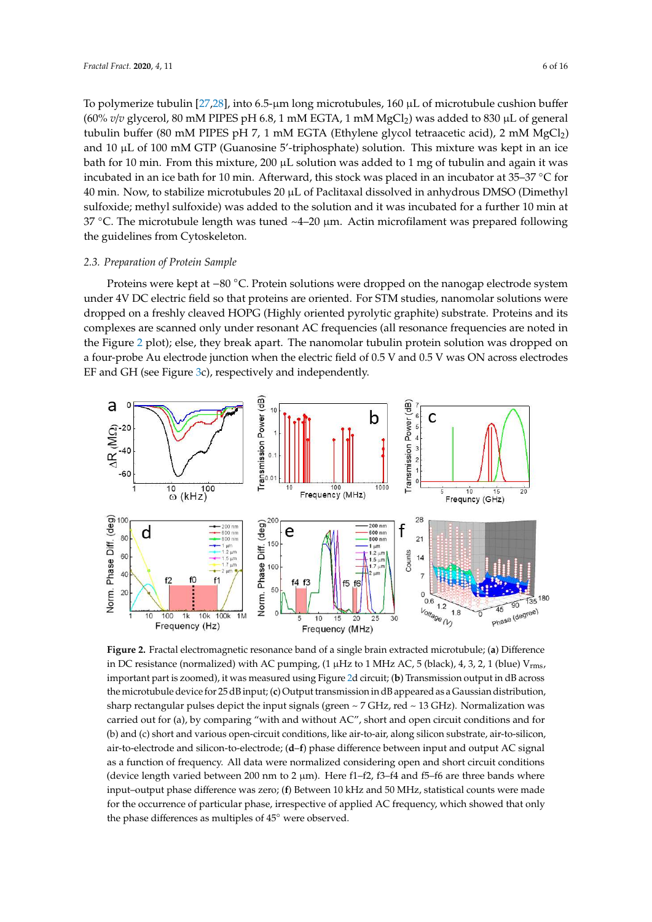To polymerize tubulin  $[27,28]$ , into 6.5-µm long microtubules, 160 µL of microtubule cushion buffer (60%  $v/v$  glycerol, 80 mM PIPES pH 6.8, 1 mM EGTA, 1 mM MgCl<sub>2</sub>) was added to 830  $\mu$ L of general tubulin buffer (80 mM PIPES pH 7, 1 mM EGTA (Ethylene glycol tetraacetic acid), 2 mM  $MgCl<sub>2</sub>$ ) and  $10 \mu L$  of  $100 \text{ mM GTP}$  (Guanosine 5'-triphosphate) solution. This mixture was kept in an ice bath for 10 min. From this mixture, 200  $\mu$ L solution was added to 1 mg of tubulin and again it was incubated in an ice bath for 10 min. Afterward, this stock was placed in an incubator at 35–37 ◦C for 40 min. Now, to stabilize microtubules 20  $\mu$ L of Paclitaxal dissolved in anhydrous DMSO (Dimethyl sulfoxide; methyl sulfoxide) was added to the solution and it was incubated for a further 10 min at 37 °C. The microtubule length was tuned  $\sim$  4–20 µm. Actin microfilament was prepared following the guidelines from Cytoskeleton.

## *2.3. Preparation of Protein Sample*

Proteins were kept at -80 °C. Protein solutions were dropped on the nanogap electrode system under 4V DC electric field so that proteins are oriented. For STM studies, nanomolar solutions were dropped on a freshly cleaved HOPG (Highly oriented pyrolytic graphite) substrate. Proteins and its complexes are scanned only under resonant AC frequencies (all resonance frequencies are noted in the Figure 2 plot); else, they break apart. The nanomolar tubulin protein solution was dropped on a four-probe Au electrode junction when the electric field of 0.5 V and 0.5 V was ON across electrodes EF and GH (see Figure 3c), respectively and independently.



in DC resistance (normalized) with AC pumping, (1  $\mu$ Hz to 1 MHz AC, 5 (black), 4, 3, 2, 1 (blue) V $_{\rm rms}$ , (device length varied between 200 nm to 2  $\mu$ m). Here f1–f2, f3–f4 and f5–f6 are three bands where **Figure 2.** Fractal electromagnetic resonance band of a single brain extracted microtubule; (**a**) Difference important part is zoomed), it was measured using Figure 2d circuit; (**b**) Transmission output in dB across the microtubule device for 25 dB input; (**c**) Output transmission in dB appeared as a Gaussian distribution, sharp rectangular pulses depict the input signals (green  $\sim$  7 GHz, red  $\sim$  13 GHz). Normalization was carried out for (a), by comparing "with and without AC", short and open circuit conditions and for (b) and (c) short and various open-circuit conditions, like air-to-air, along silicon substrate, air-to-silicon, air-to-electrode and silicon-to-electrode; (**d**–**f**) phase difference between input and output AC signal as a function of frequency. All data were normalized considering open and short circuit conditions input–output phase difference was zero; (**f**) Between 10 kHz and 50 MHz, statistical counts were made for the occurrence of particular phase, irrespective of applied AC frequency, which showed that only the phase differences as multiples of 45◦ were observed.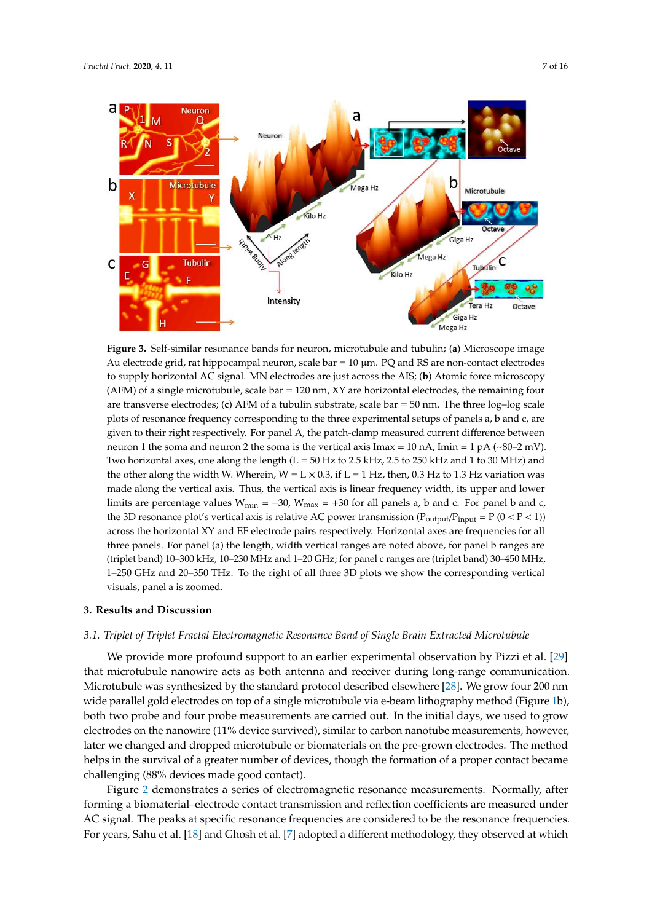

μ Au electrode grid, rat hippocampal neuron, scale bar = 10 µm. PQ and RS are non-contact electrodes limits are percentage values  $W_{min} = -30$ ,  $W_{max} = +30$  for all panels a, b and c. For panel b and c, **Figure 3.** Self-similar resonance bands for neuron, microtubule and tubulin; (**a**) Microscope image to supply horizontal AC signal. MN electrodes are just across the AIS; (**b**) Atomic force microscopy (AFM) of a single microtubule, scale bar =  $120 \text{ nm}$ , XY are horizontal electrodes, the remaining four are transverse electrodes; (**c**) AFM of a tubulin substrate, scale bar = 50 nm. The three log–log scale plots of resonance frequency corresponding to the three experimental setups of panels a, b and c, are given to their right respectively. For panel A, the patch-clamp measured current difference between neuron 1 the soma and neuron 2 the soma is the vertical axis Imax = 10 nA, Imin = 1 pA ( $\sim$ 80–2 mV). Two horizontal axes, one along the length ( $L = 50$  Hz to 2.5 kHz, 2.5 to 250 kHz and 1 to 30 MHz) and the other along the width W. Wherein,  $W = L \times 0.3$ , if  $L = 1$  Hz, then, 0.3 Hz to 1.3 Hz variation was made along the vertical axis. Thus, the vertical axis is linear frequency width, its upper and lower the 3D resonance plot's vertical axis is relative AC power transmission ( $P_{\text{output}}/P_{\text{input}} = P (0 < P < 1)$ ) across the horizontal XY and EF electrode pairs respectively. Horizontal axes are frequencies for all three panels. For panel (a) the length, width vertical ranges are noted above, for panel b ranges are (triplet band) 10–300 kHz, 10–230 MHz and 1–20 GHz; for panel c ranges are (triplet band) 30–450 MHz, 1–250 GHz and 20–350 THz. To the right of all three 3D plots we show the corresponding vertical visuals, panel a is zoomed.

## **3. Results and Discussion**

#### *3.1. Triplet of Triplet Fractal Electromagnetic Resonance Band of Single Brain Extracted Microtubule*

We provide more profound support to an earlier experimental observation by Pizzi et al. [29] that microtubule nanowire acts as both antenna and receiver during long-range communication. Microtubule was synthesized by the standard protocol described elsewhere [28]. We grow four 200 nm wide parallel gold electrodes on top of a single microtubule via e-beam lithography method (Figure 1b), both two probe and four probe measurements are carried out. In the initial days, we used to grow electrodes on the nanowire (11% device survived), similar to carbon nanotube measurements, however, later we changed and dropped microtubule or biomaterials on the pre-grown electrodes. The method helps in the survival of a greater number of devices, though the formation of a proper contact became challenging (88% devices made good contact).

Figure 2 demonstrates a series of electromagnetic resonance measurements. Normally, after forming a biomaterial–electrode contact transmission and reflection coefficients are measured under AC signal. The peaks at specific resonance frequencies are considered to be the resonance frequencies. For years, Sahu et al. [18] and Ghosh et al. [7] adopted a different methodology, they observed at which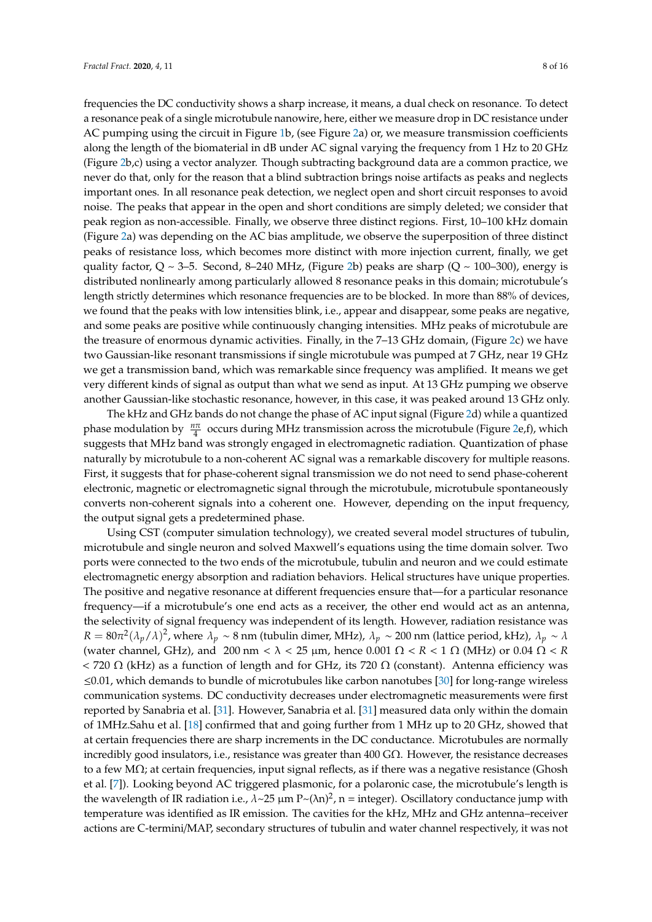frequencies the DC conductivity shows a sharp increase, it means, a dual check on resonance. To detect a resonance peak of a single microtubule nanowire, here, either we measure drop in DC resistance under AC pumping using the circuit in Figure 1b, (see Figure 2a) or, we measure transmission coefficients along the length of the biomaterial in dB under AC signal varying the frequency from 1 Hz to 20 GHz (Figure 2b,c) using a vector analyzer. Though subtracting background data are a common practice, we never do that, only for the reason that a blind subtraction brings noise artifacts as peaks and neglects important ones. In all resonance peak detection, we neglect open and short circuit responses to avoid noise. The peaks that appear in the open and short conditions are simply deleted; we consider that peak region as non-accessible. Finally, we observe three distinct regions. First, 10–100 kHz domain (Figure 2a) was depending on the AC bias amplitude, we observe the superposition of three distinct peaks of resistance loss, which becomes more distinct with more injection current, finally, we get quality factor,  $Q \sim 3$ –5. Second, 8–240 MHz, (Figure 2b) peaks are sharp  $(Q \sim 100$ –300), energy is distributed nonlinearly among particularly allowed 8 resonance peaks in this domain; microtubule's length strictly determines which resonance frequencies are to be blocked. In more than 88% of devices, we found that the peaks with low intensities blink, i.e., appear and disappear, some peaks are negative, and some peaks are positive while continuously changing intensities. MHz peaks of microtubule are the treasure of enormous dynamic activities. Finally, in the 7–13 GHz domain, (Figure 2c) we have two Gaussian-like resonant transmissions if single microtubule was pumped at 7 GHz, near 19 GHz we get a transmission band, which was remarkable since frequency was amplified. It means we get very different kinds of signal as output than what we send as input. At 13 GHz pumping we observe another Gaussian-like stochastic resonance, however, in this case, it was peaked around 13 GHz only.

The kHz and GHz bands do not change the phase of AC input signal (Figure 2d) while a quantized phase modulation by  $\frac{n\pi}{4}$  occurs during MHz transmission across the microtubule (Figure 2e,f), which suggests that MHz band was strongly engaged in electromagnetic radiation. Quantization of phase naturally by microtubule to a non-coherent AC signal was a remarkable discovery for multiple reasons. First, it suggests that for phase-coherent signal transmission we do not need to send phase-coherent electronic, magnetic or electromagnetic signal through the microtubule, microtubule spontaneously converts non-coherent signals into a coherent one. However, depending on the input frequency, the output signal gets a predetermined phase.

Using CST (computer simulation technology), we created several model structures of tubulin, microtubule and single neuron and solved Maxwell's equations using the time domain solver. Two ports were connected to the two ends of the microtubule, tubulin and neuron and we could estimate electromagnetic energy absorption and radiation behaviors. Helical structures have unique properties. The positive and negative resonance at different frequencies ensure that—for a particular resonance frequency—if a microtubule's one end acts as a receiver, the other end would act as an antenna, the selectivity of signal frequency was independent of its length. However, radiation resistance was  $R = 80\pi^2(\lambda_p/\lambda)^2$ , where  $\lambda_p \sim 8$  nm (tubulin dimer, MHz),  $\lambda_p \sim 200$  nm (lattice period, kHz),  $\lambda_p \sim \lambda$ (water channel, GHz), and 200 nm <  $\lambda$  < 25 µm, hence 0.001  $\Omega$  <  $R$  < 1  $\Omega$  (MHz) or 0.04  $\Omega$  <  $R$  $<$  720 Ω (kHz) as a function of length and for GHz, its 720 Ω (constant). Antenna efficiency was  $\leq$ 0.01, which demands to bundle of microtubules like carbon nanotubes [30] for long-range wireless communication systems. DC conductivity decreases under electromagnetic measurements were first reported by Sanabria et al. [31]. However, Sanabria et al. [31] measured data only within the domain of 1MHz.Sahu et al. [18] confirmed that and going further from 1 MHz up to 20 GHz, showed that at certain frequencies there are sharp increments in the DC conductance. Microtubules are normally incredibly good insulators, i.e., resistance was greater than 400 G $\Omega$ . However, the resistance decreases to a few MΩ; at certain frequencies, input signal reflects, as if there was a negative resistance (Ghosh et al. [7]). Looking beyond AC triggered plasmonic, for a polaronic case, the microtubule's length is the wavelength of IR radiation i.e.,  $\lambda \sim 25 \mu m P(\lambda n)^2$ , n = integer). Oscillatory conductance jump with temperature was identified as IR emission. The cavities for the kHz, MHz and GHz antenna–receiver actions are C-termini/MAP, secondary structures of tubulin and water channel respectively, it was not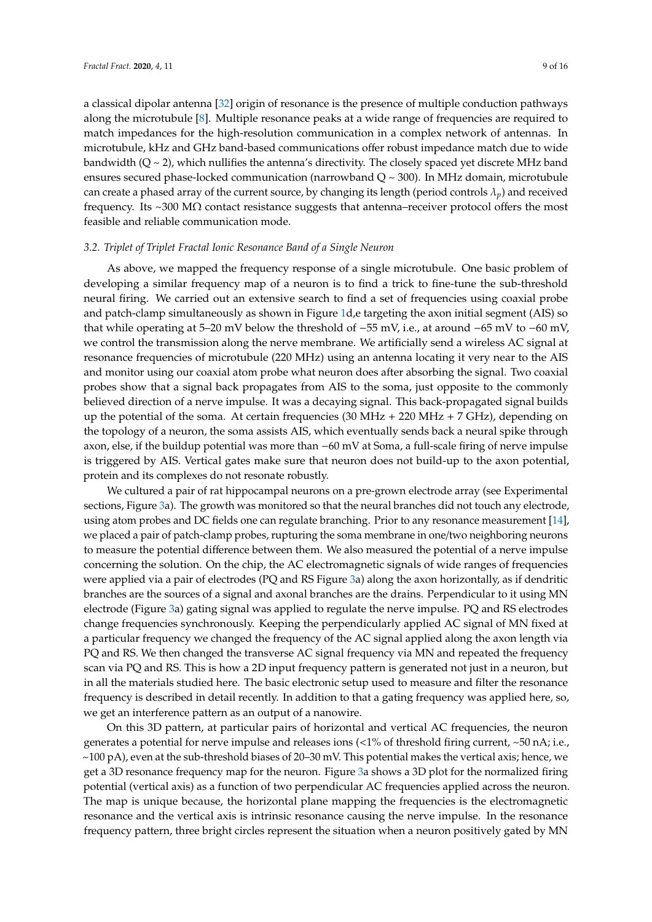a classical dipolar antenna [32] origin of resonance is the presence of multiple conduction pathways along the microtubule [8]. Multiple resonance peaks at a wide range of frequencies are required to match impedances for the high-resolution communication in a complex network of antennas. In microtubule, kHz and GHz band-based communications offer robust impedance match due to wide bandwidth  $(Q \sim 2)$ , which nullifies the antenna's directivity. The closely spaced yet discrete MHz band ensures secured phase-locked communication (narrowband  $Q \sim 300$ ). In MHz domain, microtubule can create a phased array of the current source, by changing its length (period controls  $\lambda_p$ ) and received frequency. Its ~300 MΩ contact resistance suggests that antenna–receiver protocol offers the most feasible and reliable communication mode.

#### *3.2. Triplet of Triplet Fractal Ionic Resonance Band of a Single Neuron*

As above, we mapped the frequency response of a single microtubule. One basic problem of developing a similar frequency map of a neuron is to find a trick to fine-tune the sub-threshold neural firing. We carried out an extensive search to find a set of frequencies using coaxial probe and patch-clamp simultaneously as shown in Figure 1d,e targeting the axon initial segment (AIS) so that while operating at 5–20 mV below the threshold of −55 mV, i.e., at around −65 mV to −60 mV, we control the transmission along the nerve membrane. We artificially send a wireless AC signal at resonance frequencies of microtubule (220 MHz) using an antenna locating it very near to the AIS and monitor using our coaxial atom probe what neuron does after absorbing the signal. Two coaxial probes show that a signal back propagates from AIS to the soma, just opposite to the commonly believed direction of a nerve impulse. It was a decaying signal. This back-propagated signal builds up the potential of the soma. At certain frequencies (30 MHz + 220 MHz + 7 GHz), depending on the topology of a neuron, the soma assists AIS, which eventually sends back a neural spike through axon, else, if the buildup potential was more than −60 mV at Soma, a full-scale firing of nerve impulse is triggered by AIS. Vertical gates make sure that neuron does not build-up to the axon potential, protein and its complexes do not resonate robustly.

We cultured a pair of rat hippocampal neurons on a pre-grown electrode array (see Experimental sections, Figure 3a). The growth was monitored so that the neural branches did not touch any electrode, using atom probes and DC fields one can regulate branching. Prior to any resonance measurement [14], we placed a pair of patch-clamp probes, rupturing the soma membrane in one/two neighboring neurons to measure the potential difference between them. We also measured the potential of a nerve impulse concerning the solution. On the chip, the AC electromagnetic signals of wide ranges of frequencies were applied via a pair of electrodes (PQ and RS Figure 3a) along the axon horizontally, as if dendritic branches are the sources of a signal and axonal branches are the drains. Perpendicular to it using MN electrode (Figure 3a) gating signal was applied to regulate the nerve impulse. PQ and RS electrodes change frequencies synchronously. Keeping the perpendicularly applied AC signal of MN fixed at a particular frequency we changed the frequency of the AC signal applied along the axon length via PQ and RS. We then changed the transverse AC signal frequency via MN and repeated the frequency scan via PQ and RS. This is how a 2D input frequency pattern is generated not just in a neuron, but in all the materials studied here. The basic electronic setup used to measure and filter the resonance frequency is described in detail recently. In addition to that a gating frequency was applied here, so, we get an interference pattern as an output of a nanowire.

On this 3D pattern, at particular pairs of horizontal and vertical AC frequencies, the neuron generates a potential for nerve impulse and releases ions (<1% of threshold firing current, ~50 nA; i.e.,  $\sim$ 100 pA), even at the sub-threshold biases of 20–30 mV. This potential makes the vertical axis; hence, we get a 3D resonance frequency map for the neuron. Figure 3a shows a 3D plot for the normalized firing potential (vertical axis) as a function of two perpendicular AC frequencies applied across the neuron. The map is unique because, the horizontal plane mapping the frequencies is the electromagnetic resonance and the vertical axis is intrinsic resonance causing the nerve impulse. In the resonance frequency pattern, three bright circles represent the situation when a neuron positively gated by MN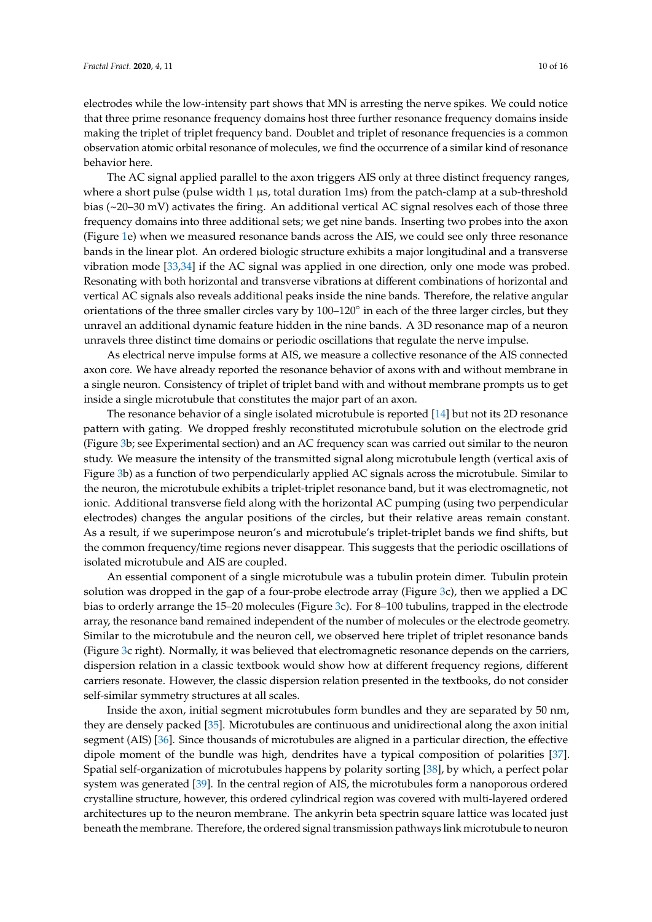electrodes while the low-intensity part shows that MN is arresting the nerve spikes. We could notice that three prime resonance frequency domains host three further resonance frequency domains inside making the triplet of triplet frequency band. Doublet and triplet of resonance frequencies is a common observation atomic orbital resonance of molecules, we find the occurrence of a similar kind of resonance behavior here.

The AC signal applied parallel to the axon triggers AIS only at three distinct frequency ranges, where a short pulse (pulse width 1  $\mu$ s, total duration 1ms) from the patch-clamp at a sub-threshold bias (~20–30 mV) activates the firing. An additional vertical AC signal resolves each of those three frequency domains into three additional sets; we get nine bands. Inserting two probes into the axon (Figure 1e) when we measured resonance bands across the AIS, we could see only three resonance bands in the linear plot. An ordered biologic structure exhibits a major longitudinal and a transverse vibration mode [33,34] if the AC signal was applied in one direction, only one mode was probed. Resonating with both horizontal and transverse vibrations at different combinations of horizontal and vertical AC signals also reveals additional peaks inside the nine bands. Therefore, the relative angular orientations of the three smaller circles vary by 100–120° in each of the three larger circles, but they unravel an additional dynamic feature hidden in the nine bands. A 3D resonance map of a neuron unravels three distinct time domains or periodic oscillations that regulate the nerve impulse.

As electrical nerve impulse forms at AIS, we measure a collective resonance of the AIS connected axon core. We have already reported the resonance behavior of axons with and without membrane in a single neuron. Consistency of triplet of triplet band with and without membrane prompts us to get inside a single microtubule that constitutes the major part of an axon.

The resonance behavior of a single isolated microtubule is reported [14] but not its 2D resonance pattern with gating. We dropped freshly reconstituted microtubule solution on the electrode grid (Figure 3b; see Experimental section) and an AC frequency scan was carried out similar to the neuron study. We measure the intensity of the transmitted signal along microtubule length (vertical axis of Figure 3b) as a function of two perpendicularly applied AC signals across the microtubule. Similar to the neuron, the microtubule exhibits a triplet-triplet resonance band, but it was electromagnetic, not ionic. Additional transverse field along with the horizontal AC pumping (using two perpendicular electrodes) changes the angular positions of the circles, but their relative areas remain constant. As a result, if we superimpose neuron's and microtubule's triplet-triplet bands we find shifts, but the common frequency/time regions never disappear. This suggests that the periodic oscillations of isolated microtubule and AIS are coupled.

An essential component of a single microtubule was a tubulin protein dimer. Tubulin protein solution was dropped in the gap of a four-probe electrode array (Figure 3c), then we applied a DC bias to orderly arrange the 15–20 molecules (Figure 3c). For 8–100 tubulins, trapped in the electrode array, the resonance band remained independent of the number of molecules or the electrode geometry. Similar to the microtubule and the neuron cell, we observed here triplet of triplet resonance bands (Figure 3c right). Normally, it was believed that electromagnetic resonance depends on the carriers, dispersion relation in a classic textbook would show how at different frequency regions, different carriers resonate. However, the classic dispersion relation presented in the textbooks, do not consider self-similar symmetry structures at all scales.

Inside the axon, initial segment microtubules form bundles and they are separated by 50 nm, they are densely packed [35]. Microtubules are continuous and unidirectional along the axon initial segment (AIS) [36]. Since thousands of microtubules are aligned in a particular direction, the effective dipole moment of the bundle was high, dendrites have a typical composition of polarities [37]. Spatial self-organization of microtubules happens by polarity sorting [38], by which, a perfect polar system was generated [39]. In the central region of AIS, the microtubules form a nanoporous ordered crystalline structure, however, this ordered cylindrical region was covered with multi-layered ordered architectures up to the neuron membrane. The ankyrin beta spectrin square lattice was located just beneath the membrane. Therefore, the ordered signal transmission pathways link microtubule to neuron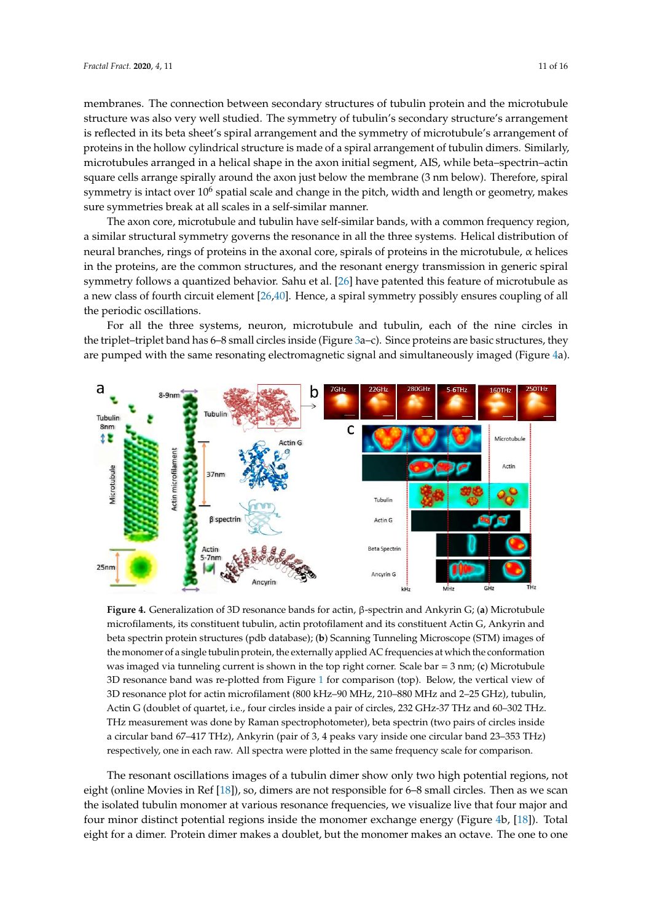membranes. The connection between secondary structures of tubulin protein and the microtubule structure was also very well studied. The symmetry of tubulin's secondary structure's arrangement is reflected in its beta sheet's spiral arrangement and the symmetry of microtubule's arrangement of proteins in the hollow cylindrical structure is made of a spiral arrangement of tubulin dimers. Similarly, microtubules arranged in a helical shape in the axon initial segment, AIS, while beta–spectrin–actin square cells arrange spirally around the axon just below the membrane (3 nm below). Therefore, spiral symmetry is intact over  $10^6$  spatial scale and change in the pitch, width and length or geometry, makes sure symmetries break at all scales in a self-similar manner.

The axon core, microtubule and tubulin have self-similar bands, with a common frequency region, a similar structural symmetry governs the resonance in all the three systems. Helical distribution of neural branches, rings of proteins in the axonal core, spirals of proteins in the microtubule, α helices in the proteins, are the common structures, and the resonant energy transmission in generic spiral symmetry follows a quantized behavior. Sahu et al. [26] have patented this feature of microtubule as a new class of fourth circuit element [26,40]. Hence, a spiral symmetry possibly ensures coupling of all the periodic oscillations.

For all the three systems, neuron, microtubule and tubulin, each of the nine circles in the triplet–triplet band has 6–8 small circles inside (Figure 3a–c). Since proteins are basic structures, they are pumped with the same resonating electromagnetic signal and simultaneously imaged (Figure 4a).



β **Figure 4.** Generalization of 3D resonance bands for actin, β-spectrin and Ankyrin G; (**a**) Microtubule microfilaments, its constituent tubulin, actin protofilament and its constituent Actin G, Ankyrin and beta spectrin protein structures (pdb database); (**b**) Scanning Tunneling Microscope (STM) images of the monomer of a single tubulin protein, the externally applied AC frequencies at which the conformation was imaged via tunneling current is shown in the top right corner. Scale bar = 3 nm; (**c**) Microtubule 3D resonance band was re-plotted from Figure 1 for comparison (top). Below, the vertical view of 3D resonance plot for actin microfilament (800 kHz–90 MHz, 210–880 MHz and 2–25 GHz), tubulin, Actin G (doublet of quartet, i.e., four circles inside a pair of circles, 232 GHz-37 THz and 60–302 THz. THz measurement was done by Raman spectrophotometer), beta spectrin (two pairs of circles inside a circular band 67–417 THz), Ankyrin (pair of 3, 4 peaks vary inside one circular band 23–353 THz) respectively, one in each raw. All spectra were plotted in the same frequency scale for comparison.

The resonant oscillations images of a tubulin dimer show only two high potential regions, not eight (online Movies in Ref [18]), so, dimers are not responsible for 6–8 small circles. Then as we scan the isolated tubulin monomer at various resonance frequencies, we visualize live that four major and four minor distinct potential regions inside the monomer exchange energy (Figure 4b, [18]). Total eight for a dimer. Protein dimer makes a doublet, but the monomer makes an octave. The one to one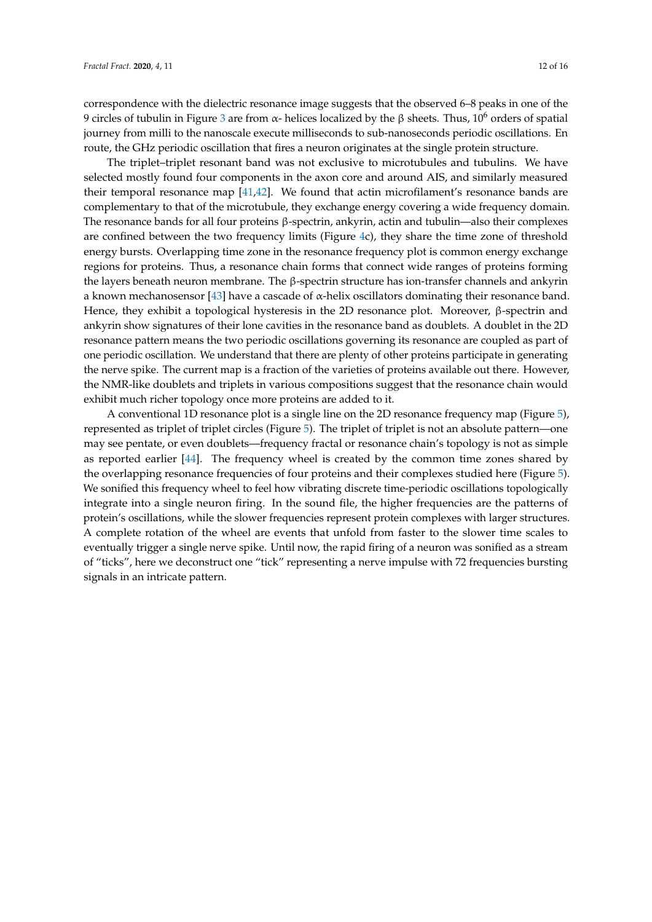correspondence with the dielectric resonance image suggests that the observed 6–8 peaks in one of the 9 circles of tubulin in Figure 3 are from α- helices localized by the β sheets. Thus, 10<sup>6</sup> orders of spatial journey from milli to the nanoscale execute milliseconds to sub-nanoseconds periodic oscillations. En route, the GHz periodic oscillation that fires a neuron originates at the single protein structure.

The triplet–triplet resonant band was not exclusive to microtubules and tubulins. We have selected mostly found four components in the axon core and around AIS, and similarly measured their temporal resonance map [41,42]. We found that actin microfilament's resonance bands are complementary to that of the microtubule, they exchange energy covering a wide frequency domain. The resonance bands for all four proteins β-spectrin, ankyrin, actin and tubulin—also their complexes are confined between the two frequency limits (Figure 4c), they share the time zone of threshold energy bursts. Overlapping time zone in the resonance frequency plot is common energy exchange regions for proteins. Thus, a resonance chain forms that connect wide ranges of proteins forming the layers beneath neuron membrane. The β-spectrin structure has ion-transfer channels and ankyrin a known mechanosensor [43] have a cascade of α-helix oscillators dominating their resonance band. Hence, they exhibit a topological hysteresis in the 2D resonance plot. Moreover, β-spectrin and ankyrin show signatures of their lone cavities in the resonance band as doublets. A doublet in the 2D resonance pattern means the two periodic oscillations governing its resonance are coupled as part of one periodic oscillation. We understand that there are plenty of other proteins participate in generating the nerve spike. The current map is a fraction of the varieties of proteins available out there. However, the NMR-like doublets and triplets in various compositions suggest that the resonance chain would exhibit much richer topology once more proteins are added to it.

A conventional 1D resonance plot is a single line on the 2D resonance frequency map (Figure 5), represented as triplet of triplet circles (Figure 5). The triplet of triplet is not an absolute pattern—one may see pentate, or even doublets—frequency fractal or resonance chain's topology is not as simple as reported earlier [44]. The frequency wheel is created by the common time zones shared by the overlapping resonance frequencies of four proteins and their complexes studied here (Figure 5). We sonified this frequency wheel to feel how vibrating discrete time-periodic oscillations topologically integrate into a single neuron firing. In the sound file, the higher frequencies are the patterns of protein's oscillations, while the slower frequencies represent protein complexes with larger structures. A complete rotation of the wheel are events that unfold from faster to the slower time scales to eventually trigger a single nerve spike. Until now, the rapid firing of a neuron was sonified as a stream of "ticks", here we deconstruct one "tick" representing a nerve impulse with 72 frequencies bursting signals in an intricate pattern.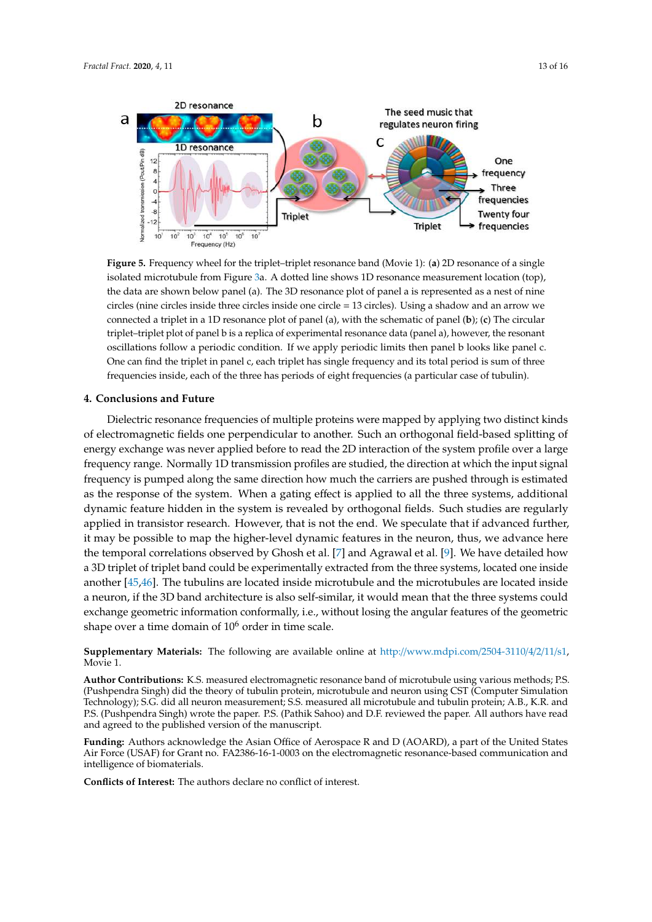

**Figure 5.** Frequency wheel for the triplet–triplet resonance band (Movie 1): (**a**) 2D resonance of a single isolated microtubule from Figure 3a. A dotted line shows 1D resonance measurement location (top), the data are shown below panel (a). The 3D resonance plot of panel a is represented as a nest of nine circles (nine circles inside three circles inside one circle = 13 circles). Using a shadow and an arrow we connected a triplet in a 1D resonance plot of panel (a), with the schematic of panel (**b**); (**c**) The circular triplet–triplet plot of panel b is a replica of experimental resonance data (panel a), however, the resonant oscillations follow a periodic condition. If we apply periodic limits then panel b looks like panel c. One can find the triplet in panel c, each triplet has single frequency and its total period is sum of three frequencies inside, each of the three has periods of eight frequencies (a particular case of tubulin).

#### **4. Conclusions and Future**

Dielectric resonance frequencies of multiple proteins were mapped by applying two distinct kinds of electromagnetic fields one perpendicular to another. Such an orthogonal field-based splitting of energy exchange was never applied before to read the 2D interaction of the system profile over a large frequency range. Normally 1D transmission profiles are studied, the direction at which the input signal frequency is pumped along the same direction how much the carriers are pushed through is estimated as the response of the system. When a gating effect is applied to all the three systems, additional dynamic feature hidden in the system is revealed by orthogonal fields. Such studies are regularly applied in transistor research. However, that is not the end. We speculate that if advanced further, it may be possible to map the higher-level dynamic features in the neuron, thus, we advance here the temporal correlations observed by Ghosh et al. [7] and Agrawal et al. [9]. We have detailed how a 3D triplet of triplet band could be experimentally extracted from the three systems, located one inside another [45,46]. The tubulins are located inside microtubule and the microtubules are located inside a neuron, if the 3D band architecture is also self-similar, it would mean that the three systems could exchange geometric information conformally, i.e., without losing the angular features of the geometric shape over a time domain of  $10<sup>6</sup>$  order in time scale.

**Supplementary Materials:** The following are available online at http://www.mdpi.com/2504-3110/4/2/11/s1, Movie 1.

**Author Contributions:** K.S. measured electromagnetic resonance band of microtubule using various methods; P.S. (Pushpendra Singh) did the theory of tubulin protein, microtubule and neuron using CST (Computer Simulation Technology); S.G. did all neuron measurement; S.S. measured all microtubule and tubulin protein; A.B., K.R. and P.S. (Pushpendra Singh) wrote the paper. P.S. (Pathik Sahoo) and D.F. reviewed the paper. All authors have read and agreed to the published version of the manuscript.

**Funding:** Authors acknowledge the Asian Office of Aerospace R and D (AOARD), a part of the United States Air Force (USAF) for Grant no. FA2386-16-1-0003 on the electromagnetic resonance-based communication and intelligence of biomaterials.

**Conflicts of Interest:** The authors declare no conflict of interest.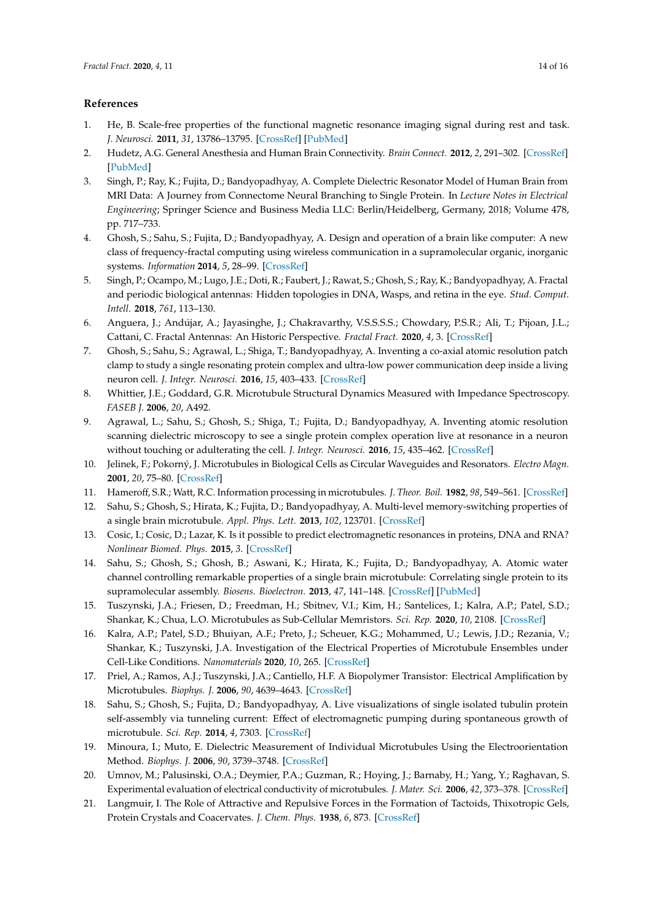## **References**

- 1. He, B. Scale-free properties of the functional magnetic resonance imaging signal during rest and task. *J. Neurosci.* **2011**, *31*, 13786–13795. [CrossRef] [PubMed]
- 2. Hudetz, A.G. General Anesthesia and Human Brain Connectivity. *Brain Connect.* **2012**, *2*, 291–302. [CrossRef] [PubMed]
- 3. Singh, P.; Ray, K.; Fujita, D.; Bandyopadhyay, A. Complete Dielectric Resonator Model of Human Brain from MRI Data: A Journey from Connectome Neural Branching to Single Protein. In *Lecture Notes in Electrical Engineering*; Springer Science and Business Media LLC: Berlin/Heidelberg, Germany, 2018; Volume 478, pp. 717–733.
- 4. Ghosh, S.; Sahu, S.; Fujita, D.; Bandyopadhyay, A. Design and operation of a brain like computer: A new class of frequency-fractal computing using wireless communication in a supramolecular organic, inorganic systems. *Information* **2014**, *5*, 28–99. [CrossRef]
- 5. Singh, P.; Ocampo, M.; Lugo, J.E.; Doti, R.; Faubert, J.; Rawat, S.; Ghosh, S.; Ray, K.; Bandyopadhyay, A. Fractal and periodic biological antennas: Hidden topologies in DNA, Wasps, and retina in the eye. *Stud. Comput. Intell.* **2018**, *761*, 113–130.
- 6. Anguera, J.; Andújar, A.; Jayasinghe, J.; Chakravarthy, V.S.S.S.S.; Chowdary, P.S.R.; Ali, T.; Pijoan, J.L.; Cattani, C. Fractal Antennas: An Historic Perspective. *Fractal Fract.* **2020**, *4*, 3. [CrossRef]
- 7. Ghosh, S.; Sahu, S.; Agrawal, L.; Shiga, T.; Bandyopadhyay, A. Inventing a co-axial atomic resolution patch clamp to study a single resonating protein complex and ultra-low power communication deep inside a living neuron cell. *J. Integr. Neurosci.* **2016**, *15*, 403–433. [CrossRef]
- 8. Whittier, J.E.; Goddard, G.R. Microtubule Structural Dynamics Measured with Impedance Spectroscopy. *FASEB J.* **2006**, *20*, A492.
- 9. Agrawal, L.; Sahu, S.; Ghosh, S.; Shiga, T.; Fujita, D.; Bandyopadhyay, A. Inventing atomic resolution scanning dielectric microscopy to see a single protein complex operation live at resonance in a neuron without touching or adulterating the cell. *J. Integr. Neurosci.* **2016**, *15*, 435–462. [CrossRef]
- 10. Jelinek, F.; Pokorný, J. Microtubules in Biological Cells as Circular Waveguides and Resonators. *Electro Magn.* **2001**, *20*, 75–80. [CrossRef]
- 11. Hameroff, S.R.; Watt, R.C. Information processing in microtubules. *J. Theor. Boil.* **1982**, *98*, 549–561. [CrossRef]
- 12. Sahu, S.; Ghosh, S.; Hirata, K.; Fujita, D.; Bandyopadhyay, A. Multi-level memory-switching properties of a single brain microtubule. *Appl. Phys. Lett.* **2013**, *102*, 123701. [CrossRef]
- 13. Cosic, I.; Cosic, D.; Lazar, K. Is it possible to predict electromagnetic resonances in proteins, DNA and RNA? *Nonlinear Biomed. Phys.* **2015**, *3*. [CrossRef]
- 14. Sahu, S.; Ghosh, S.; Ghosh, B.; Aswani, K.; Hirata, K.; Fujita, D.; Bandyopadhyay, A. Atomic water channel controlling remarkable properties of a single brain microtubule: Correlating single protein to its supramolecular assembly. *Biosens. Bioelectron.* **2013**, *47*, 141–148. [CrossRef] [PubMed]
- 15. Tuszynski, J.A.; Friesen, D.; Freedman, H.; Sbitnev, V.I.; Kim, H.; Santelices, I.; Kalra, A.P.; Patel, S.D.; Shankar, K.; Chua, L.O. Microtubules as Sub-Cellular Memristors. *Sci. Rep.* **2020**, *10*, 2108. [CrossRef]
- 16. Kalra, A.P.; Patel, S.D.; Bhuiyan, A.F.; Preto, J.; Scheuer, K.G.; Mohammed, U.; Lewis, J.D.; Rezania, V.; Shankar, K.; Tuszynski, J.A. Investigation of the Electrical Properties of Microtubule Ensembles under Cell-Like Conditions. *Nanomaterials* **2020**, *10*, 265. [CrossRef]
- 17. Priel, A.; Ramos, A.J.; Tuszynski, J.A.; Cantiello, H.F. A Biopolymer Transistor: Electrical Amplification by Microtubules. *Biophys. J.* **2006**, *90*, 4639–4643. [CrossRef]
- 18. Sahu, S.; Ghosh, S.; Fujita, D.; Bandyopadhyay, A. Live visualizations of single isolated tubulin protein self-assembly via tunneling current: Effect of electromagnetic pumping during spontaneous growth of microtubule. *Sci. Rep.* **2014**, *4*, 7303. [CrossRef]
- 19. Minoura, I.; Muto, E. Dielectric Measurement of Individual Microtubules Using the Electroorientation Method. *Biophys. J.* **2006**, *90*, 3739–3748. [CrossRef]
- 20. Umnov, M.; Palusinski, O.A.; Deymier, P.A.; Guzman, R.; Hoying, J.; Barnaby, H.; Yang, Y.; Raghavan, S. Experimental evaluation of electrical conductivity of microtubules. *J. Mater. Sci.* **2006**, *42*, 373–378. [CrossRef]
- 21. Langmuir, I. The Role of Attractive and Repulsive Forces in the Formation of Tactoids, Thixotropic Gels, Protein Crystals and Coacervates. *J. Chem. Phys.* **1938**, *6*, 873. [CrossRef]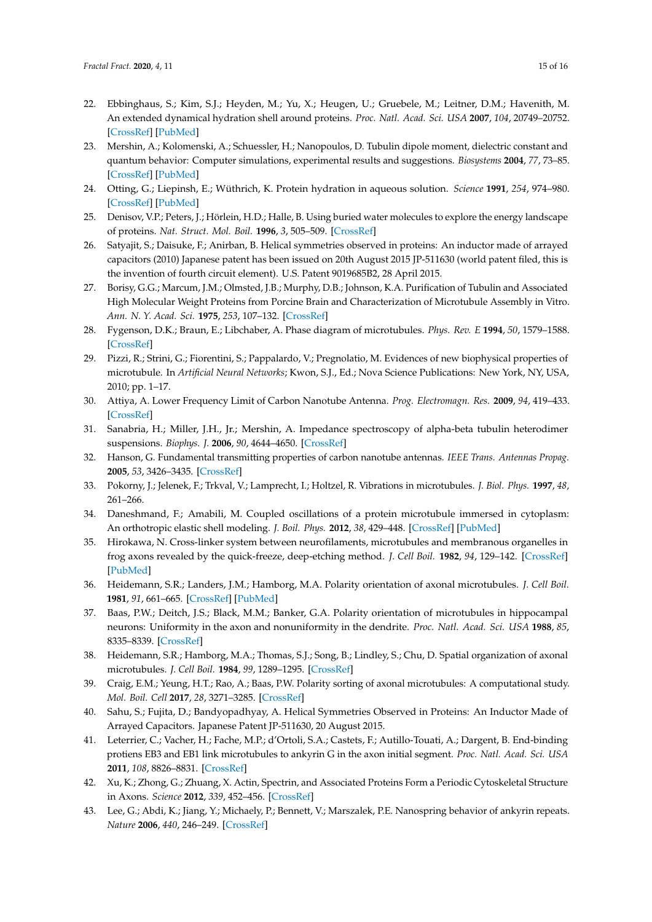- 22. Ebbinghaus, S.; Kim, S.J.; Heyden, M.; Yu, X.; Heugen, U.; Gruebele, M.; Leitner, D.M.; Havenith, M. An extended dynamical hydration shell around proteins. *Proc. Natl. Acad. Sci. USA* **2007**, *104*, 20749–20752. [CrossRef] [PubMed]
- 23. Mershin, A.; Kolomenski, A.; Schuessler, H.; Nanopoulos, D. Tubulin dipole moment, dielectric constant and quantum behavior: Computer simulations, experimental results and suggestions. *Biosystems* **2004**, *77*, 73–85. [CrossRef] [PubMed]
- 24. Otting, G.; Liepinsh, E.; Wüthrich, K. Protein hydration in aqueous solution. *Science* **1991**, *254*, 974–980. [CrossRef] [PubMed]
- 25. Denisov, V.P.; Peters, J.; Hörlein, H.D.; Halle, B. Using buried water molecules to explore the energy landscape of proteins. *Nat. Struct. Mol. Boil.* **1996**, *3*, 505–509. [CrossRef]
- 26. Satyajit, S.; Daisuke, F.; Anirban, B. Helical symmetries observed in proteins: An inductor made of arrayed capacitors (2010) Japanese patent has been issued on 20th August 2015 JP-511630 (world patent filed, this is the invention of fourth circuit element). U.S. Patent 9019685B2, 28 April 2015.
- 27. Borisy, G.G.; Marcum, J.M.; Olmsted, J.B.; Murphy, D.B.; Johnson, K.A. Purification of Tubulin and Associated High Molecular Weight Proteins from Porcine Brain and Characterization of Microtubule Assembly in Vitro. *Ann. N. Y. Acad. Sci.* **1975**, *253*, 107–132. [CrossRef]
- 28. Fygenson, D.K.; Braun, E.; Libchaber, A. Phase diagram of microtubules. *Phys. Rev. E* **1994**, *50*, 1579–1588. [CrossRef]
- 29. Pizzi, R.; Strini, G.; Fiorentini, S.; Pappalardo, V.; Pregnolatio, M. Evidences of new biophysical properties of microtubule. In *Artificial Neural Networks*; Kwon, S.J., Ed.; Nova Science Publications: New York, NY, USA, 2010; pp. 1–17.
- 30. Attiya, A. Lower Frequency Limit of Carbon Nanotube Antenna. *Prog. Electromagn. Res.* **2009**, *94*, 419–433. [CrossRef]
- 31. Sanabria, H.; Miller, J.H., Jr.; Mershin, A. Impedance spectroscopy of alpha-beta tubulin heterodimer suspensions. *Biophys. J.* **2006**, *90*, 4644–4650. [CrossRef]
- 32. Hanson, G. Fundamental transmitting properties of carbon nanotube antennas. *IEEE Trans. Antennas Propag.* **2005**, *53*, 3426–3435. [CrossRef]
- 33. Pokorny, J.; Jelenek, F.; Trkval, V.; Lamprecht, I.; Holtzel, R. Vibrations in microtubules. *J. Biol. Phys.* **1997**, *48*, 261–266.
- 34. Daneshmand, F.; Amabili, M. Coupled oscillations of a protein microtubule immersed in cytoplasm: An orthotropic elastic shell modeling. *J. Boil. Phys.* **2012**, *38*, 429–448. [CrossRef] [PubMed]
- 35. Hirokawa, N. Cross-linker system between neurofilaments, microtubules and membranous organelles in frog axons revealed by the quick-freeze, deep-etching method. *J. Cell Boil.* **1982**, *94*, 129–142. [CrossRef] [PubMed]
- 36. Heidemann, S.R.; Landers, J.M.; Hamborg, M.A. Polarity orientation of axonal microtubules. *J. Cell Boil.* **1981**, *91*, 661–665. [CrossRef] [PubMed]
- 37. Baas, P.W.; Deitch, J.S.; Black, M.M.; Banker, G.A. Polarity orientation of microtubules in hippocampal neurons: Uniformity in the axon and nonuniformity in the dendrite. *Proc. Natl. Acad. Sci. USA* **1988**, *85*, 8335–8339. [CrossRef]
- 38. Heidemann, S.R.; Hamborg, M.A.; Thomas, S.J.; Song, B.; Lindley, S.; Chu, D. Spatial organization of axonal microtubules. *J. Cell Boil.* **1984**, *99*, 1289–1295. [CrossRef]
- 39. Craig, E.M.; Yeung, H.T.; Rao, A.; Baas, P.W. Polarity sorting of axonal microtubules: A computational study. *Mol. Boil. Cell* **2017**, *28*, 3271–3285. [CrossRef]
- 40. Sahu, S.; Fujita, D.; Bandyopadhyay, A. Helical Symmetries Observed in Proteins: An Inductor Made of Arrayed Capacitors. Japanese Patent JP-511630, 20 August 2015.
- 41. Leterrier, C.; Vacher, H.; Fache, M.P.; d'Ortoli, S.A.; Castets, F.; Autillo-Touati, A.; Dargent, B. End-binding protiens EB3 and EB1 link microtubules to ankyrin G in the axon initial segment. *Proc. Natl. Acad. Sci. USA* **2011**, *108*, 8826–8831. [CrossRef]
- 42. Xu, K.; Zhong, G.; Zhuang, X. Actin, Spectrin, and Associated Proteins Form a Periodic Cytoskeletal Structure in Axons. *Science* **2012**, *339*, 452–456. [CrossRef]
- 43. Lee, G.; Abdi, K.; Jiang, Y.; Michaely, P.; Bennett, V.; Marszalek, P.E. Nanospring behavior of ankyrin repeats. *Nature* **2006**, *440*, 246–249. [CrossRef]